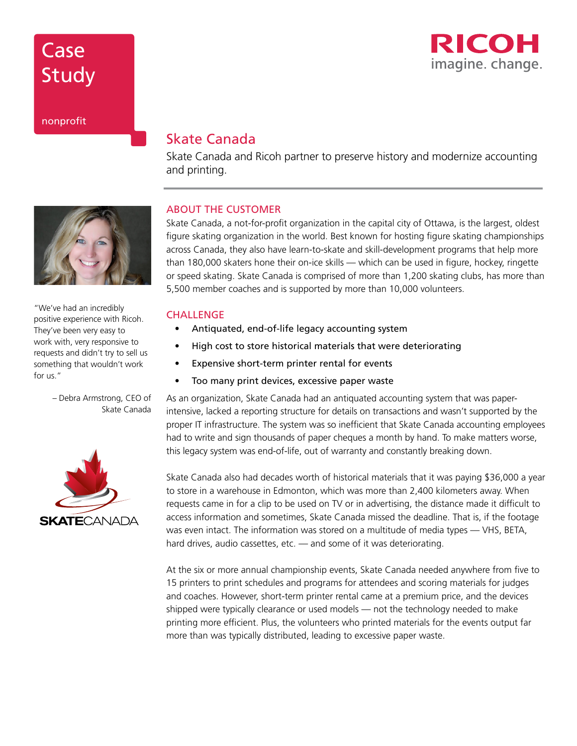# **Case** Study



## nonprofit

## Skate Canada

Skate Canada and Ricoh partner to preserve history and modernize accounting and printing.

## ABOUT THE CUSTOMER

Skate Canada, a not-for-profit organization in the capital city of Ottawa, is the largest, oldest figure skating organization in the world. Best known for hosting figure skating championships across Canada, they also have learn-to-skate and skill-development programs that help more than 180,000 skaters hone their on-ice skills — which can be used in figure, hockey, ringette or speed skating. Skate Canada is comprised of more than 1,200 skating clubs, has more than 5,500 member coaches and is supported by more than 10,000 volunteers.

## **CHALLENGE**

- Antiquated, end-of-life legacy accounting system
- High cost to store historical materials that were deteriorating
- Expensive short-term printer rental for events
- Too many print devices, excessive paper waste

As an organization, Skate Canada had an antiquated accounting system that was paperintensive, lacked a reporting structure for details on transactions and wasn't supported by the proper IT infrastructure. The system was so inefficient that Skate Canada accounting employees had to write and sign thousands of paper cheques a month by hand. To make matters worse, this legacy system was end-of-life, out of warranty and constantly breaking down.

Skate Canada also had decades worth of historical materials that it was paying \$36,000 a year to store in a warehouse in Edmonton, which was more than 2,400 kilometers away. When requests came in for a clip to be used on TV or in advertising, the distance made it difficult to access information and sometimes, Skate Canada missed the deadline. That is, if the footage was even intact. The information was stored on a multitude of media types — VHS, BETA, hard drives, audio cassettes, etc. — and some of it was deteriorating.

At the six or more annual championship events, Skate Canada needed anywhere from five to 15 printers to print schedules and programs for attendees and scoring materials for judges and coaches. However, short-term printer rental came at a premium price, and the devices shipped were typically clearance or used models — not the technology needed to make printing more efficient. Plus, the volunteers who printed materials for the events output far more than was typically distributed, leading to excessive paper waste.



– Debra Armstrong, CEO of Skate Canada